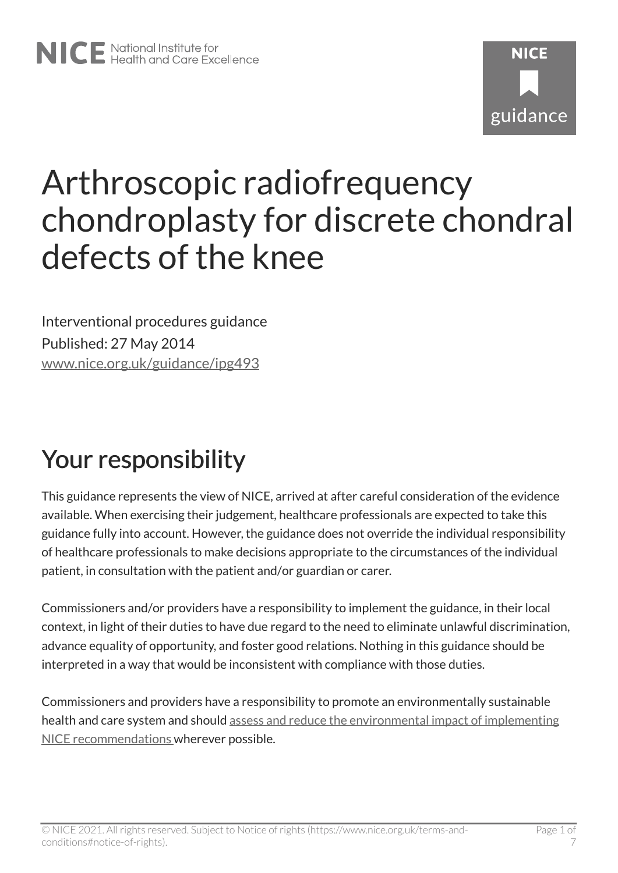# Arthroscopic radiofrequency chondroplasty for discrete chondral defects of the knee

Interventional procedures guidance Published: 27 May 2014 [www.nice.org.uk/guidance/ipg493](https://www.nice.org.uk/guidance/ipg493) 

# Your responsibility

This guidance represents the view of NICE, arrived at after careful consideration of the evidence available. When exercising their judgement, healthcare professionals are expected to take this guidance fully into account. However, the guidance does not override the individual responsibility of healthcare professionals to make decisions appropriate to the circumstances of the individual patient, in consultation with the patient and/or guardian or carer.

Commissioners and/or providers have a responsibility to implement the guidance, in their local context, in light of their duties to have due regard to the need to eliminate unlawful discrimination, advance equality of opportunity, and foster good relations. Nothing in this guidance should be interpreted in a way that would be inconsistent with compliance with those duties.

Commissioners and providers have a responsibility to promote an environmentally sustainable health and care system and should [assess and reduce the environmental impact of implementing](https://www.nice.org.uk/about/who-we-are/sustainability)  [NICE recommendations w](https://www.nice.org.uk/about/who-we-are/sustainability)herever possible.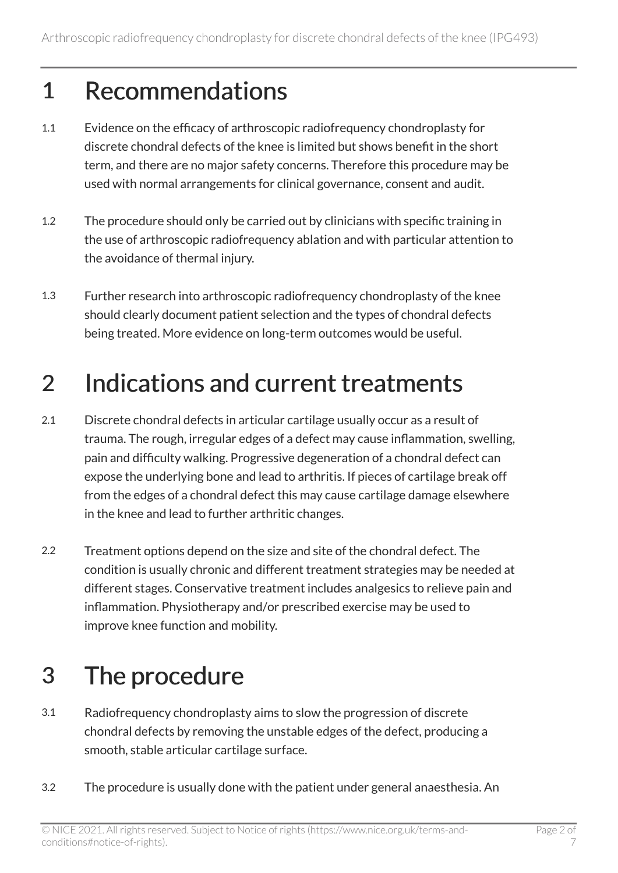#### 1 Recommendations

- 1.1 Evidence on the efficacy of arthroscopic radiofrequency chondroplasty for discrete chondral defects of the knee is limited but shows benefit in the short term, and there are no major safety concerns. Therefore this procedure may be used with normal arrangements for clinical governance, consent and audit.
- 1.2 The procedure should only be carried out by clinicians with specific training in the use of arthroscopic radiofrequency ablation and with particular attention to the avoidance of thermal injury.
- 1.3 Further research into arthroscopic radiofrequency chondroplasty of the knee should clearly document patient selection and the types of chondral defects being treated. More evidence on long-term outcomes would be useful.

#### 2 Indications and current treatments

- 2.1 Discrete chondral defects in articular cartilage usually occur as a result of trauma. The rough, irregular edges of a defect may cause inflammation, swelling, pain and difficulty walking. Progressive degeneration of a chondral defect can expose the underlying bone and lead to arthritis. If pieces of cartilage break off from the edges of a chondral defect this may cause cartilage damage elsewhere in the knee and lead to further arthritic changes.
- 2.2 Treatment options depend on the size and site of the chondral defect. The condition is usually chronic and different treatment strategies may be needed at different stages. Conservative treatment includes analgesics to relieve pain and inflammation. Physiotherapy and/or prescribed exercise may be used to improve knee function and mobility.

### 3 The procedure

- 3.1 Radiofrequency chondroplasty aims to slow the progression of discrete chondral defects by removing the unstable edges of the defect, producing a smooth, stable articular cartilage surface.
- 3.2 The procedure is usually done with the patient under general anaesthesia. An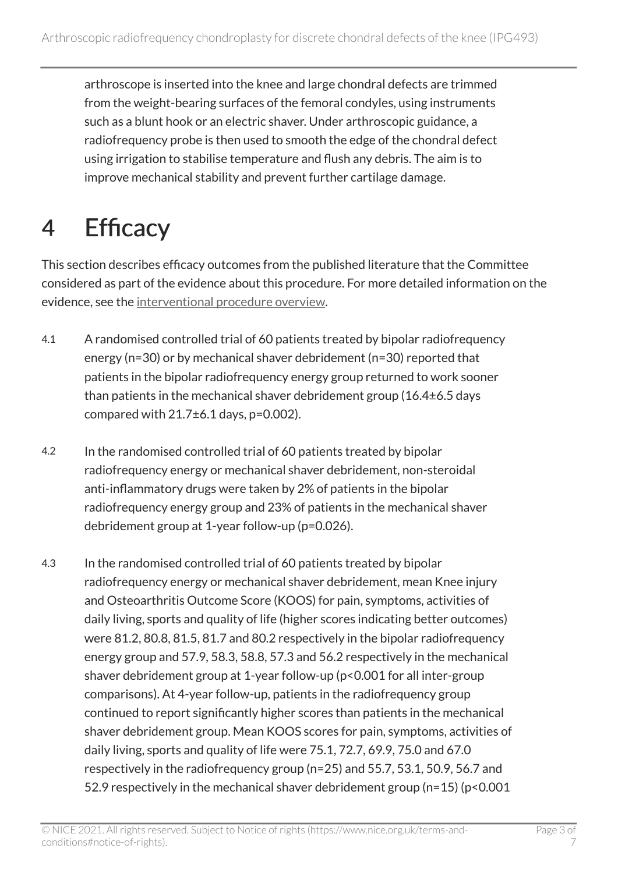arthroscope is inserted into the knee and large chondral defects are trimmed from the weight-bearing surfaces of the femoral condyles, using instruments such as a blunt hook or an electric shaver. Under arthroscopic guidance, a radiofrequency probe is then used to smooth the edge of the chondral defect using irrigation to stabilise temperature and flush any debris. The aim is to improve mechanical stability and prevent further cartilage damage.

# 4 Efficacy

This section describes efficacy outcomes from the published literature that the Committee considered as part of the evidence about this procedure. For more detailed information on the evidence, see the [interventional procedure overview](http://www.nice.org.uk/guidance/ipg493).

- 4.1 A randomised controlled trial of 60 patients treated by bipolar radiofrequency energy (n=30) or by mechanical shaver debridement (n=30) reported that patients in the bipolar radiofrequency energy group returned to work sooner than patients in the mechanical shaver debridement group (16.4±6.5 days compared with  $21.7\pm6.1$  days,  $p=0.002$ ).
- 4.2 In the randomised controlled trial of 60 patients treated by bipolar radiofrequency energy or mechanical shaver debridement, non-steroidal anti-inflammatory drugs were taken by 2% of patients in the bipolar radiofrequency energy group and 23% of patients in the mechanical shaver debridement group at 1-year follow-up (p=0.026).
- 4.3 In the randomised controlled trial of 60 patients treated by bipolar radiofrequency energy or mechanical shaver debridement, mean Knee injury and Osteoarthritis Outcome Score (KOOS) for pain, symptoms, activities of daily living, sports and quality of life (higher scores indicating better outcomes) were 81.2, 80.8, 81.5, 81.7 and 80.2 respectively in the bipolar radiofrequency energy group and 57.9, 58.3, 58.8, 57.3 and 56.2 respectively in the mechanical shaver debridement group at 1-year follow-up (p<0.001 for all inter-group comparisons). At 4-year follow-up, patients in the radiofrequency group continued to report significantly higher scores than patients in the mechanical shaver debridement group. Mean KOOS scores for pain, symptoms, activities of daily living, sports and quality of life were 75.1, 72.7, 69.9, 75.0 and 67.0 respectively in the radiofrequency group (n=25) and 55.7, 53.1, 50.9, 56.7 and 52.9 respectively in the mechanical shaver debridement group (n=15) (p<0.001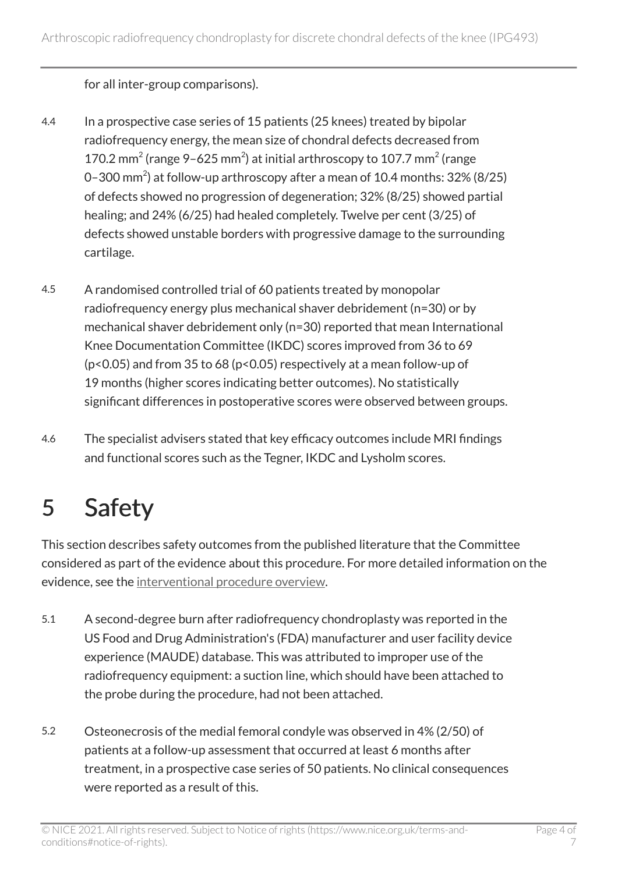for all inter-group comparisons).

- 4.4 In a prospective case series of 15 patients (25 knees) treated by bipolar radiofrequency energy, the mean size of chondral defects decreased from 170.2 mm<sup>2</sup> (range 9–625 mm<sup>2</sup>) at initial arthroscopy to 107.7 mm<sup>2</sup> (range 0–300 mm<sup>2</sup>) at follow-up arthroscopy after a mean of 10.4 months: 32% (8/25) of defects showed no progression of degeneration; 32% (8/25) showed partial healing; and 24% (6/25) had healed completely. Twelve per cent (3/25) of defects showed unstable borders with progressive damage to the surrounding cartilage.
- 4.5 A randomised controlled trial of 60 patients treated by monopolar radiofrequency energy plus mechanical shaver debridement (n=30) or by mechanical shaver debridement only (n=30) reported that mean International Knee Documentation Committee (IKDC) scores improved from 36 to 69 (p<0.05) and from 35 to 68 (p<0.05) respectively at a mean follow-up of 19 months (higher scores indicating better outcomes). No statistically significant differences in postoperative scores were observed between groups.
- 4.6 The specialist advisers stated that key efficacy outcomes include MRI findings and functional scores such as the Tegner, IKDC and Lysholm scores.

### 5 Safety

This section describes safety outcomes from the published literature that the Committee considered as part of the evidence about this procedure. For more detailed information on the evidence, see the [interventional procedure overview](http://www.nice.org.uk/guidance/ipg493).

- 5.1 A second-degree burn after radiofrequency chondroplasty was reported in the US Food and Drug Administration's (FDA) manufacturer and user facility device experience (MAUDE) database. This was attributed to improper use of the radiofrequency equipment: a suction line, which should have been attached to the probe during the procedure, had not been attached.
- 5.2 Osteonecrosis of the medial femoral condyle was observed in 4% (2/50) of patients at a follow-up assessment that occurred at least 6 months after treatment, in a prospective case series of 50 patients. No clinical consequences were reported as a result of this.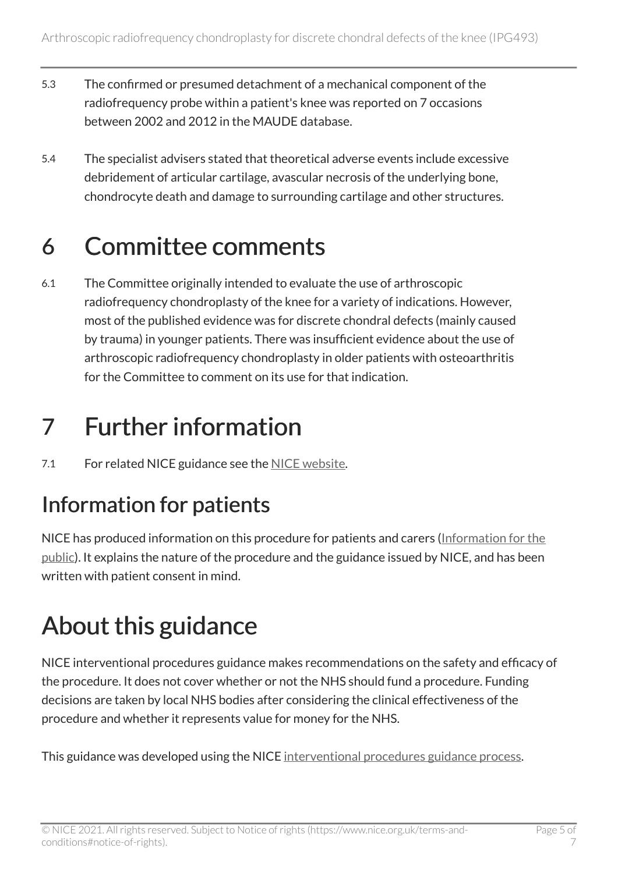- 5.3 The confirmed or presumed detachment of a mechanical component of the radiofrequency probe within a patient's knee was reported on 7 occasions between 2002 and 2012 in the MAUDE database.
- 5.4 The specialist advisers stated that theoretical adverse events include excessive debridement of articular cartilage, avascular necrosis of the underlying bone, chondrocyte death and damage to surrounding cartilage and other structures.

#### 6 Committee comments

6.1 The Committee originally intended to evaluate the use of arthroscopic radiofrequency chondroplasty of the knee for a variety of indications. However, most of the published evidence was for discrete chondral defects (mainly caused by trauma) in younger patients. There was insufficient evidence about the use of arthroscopic radiofrequency chondroplasty in older patients with osteoarthritis for the Committee to comment on its use for that indication.

### 7 Further information

7.1 For related NICE guidance see the [NICE website.](http://www.nice.org.uk/)

#### Information for patients

NICE has produced information on this procedure for patients and carers [\(Information for the](http://www.nice.org.uk/guidance/ipg493/informationforpublic)  [public\)](http://www.nice.org.uk/guidance/ipg493/informationforpublic). It explains the nature of the procedure and the guidance issued by NICE, and has been written with patient consent in mind.

# About this guidance

NICE interventional procedures guidance makes recommendations on the safety and efficacy of the procedure. It does not cover whether or not the NHS should fund a procedure. Funding decisions are taken by local NHS bodies after considering the clinical effectiveness of the procedure and whether it represents value for money for the NHS.

This guidance was developed using the NICE [interventional procedures guidance process](http://www.nice.org.uk/about/what-we-do/our-programmes/nice-guidance/nice-interventional-procedures-guidance).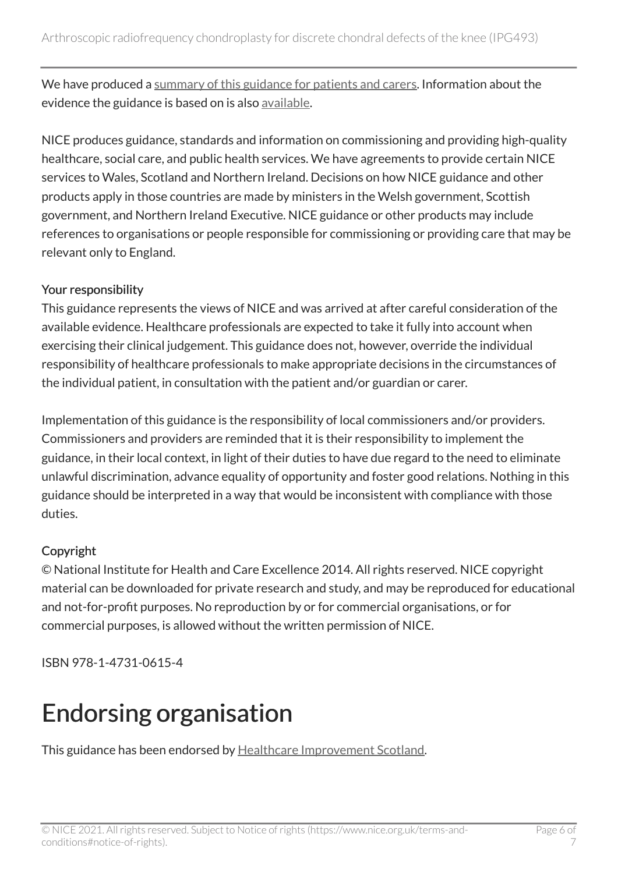We have produced a [summary of this guidance for patients and carers.](http://www.nice.org.uk/guidance/ipg493/informationforpublic) Information about the evidence the guidance is based on is also [available](http://www.nice.org.uk/guidance/ipg493).

NICE produces guidance, standards and information on commissioning and providing high-quality healthcare, social care, and public health services. We have agreements to provide certain NICE services to Wales, Scotland and Northern Ireland. Decisions on how NICE guidance and other products apply in those countries are made by ministers in the Welsh government, Scottish government, and Northern Ireland Executive. NICE guidance or other products may include references to organisations or people responsible for commissioning or providing care that may be relevant only to England.

#### Your responsibility

This guidance represents the views of NICE and was arrived at after careful consideration of the available evidence. Healthcare professionals are expected to take it fully into account when exercising their clinical judgement. This guidance does not, however, override the individual responsibility of healthcare professionals to make appropriate decisions in the circumstances of the individual patient, in consultation with the patient and/or guardian or carer.

Implementation of this guidance is the responsibility of local commissioners and/or providers. Commissioners and providers are reminded that it is their responsibility to implement the guidance, in their local context, in light of their duties to have due regard to the need to eliminate unlawful discrimination, advance equality of opportunity and foster good relations. Nothing in this guidance should be interpreted in a way that would be inconsistent with compliance with those duties.

#### Copyright

© National Institute for Health and Care Excellence 2014. All rights reserved. NICE copyright material can be downloaded for private research and study, and may be reproduced for educational and not-for-profit purposes. No reproduction by or for commercial organisations, or for commercial purposes, is allowed without the written permission of NICE.

ISBN 978-1-4731-0615-4

#### Endorsing organisation

This guidance has been endorsed by [Healthcare Improvement Scotland.](http://www.healthcareimprovementscotland.org/)